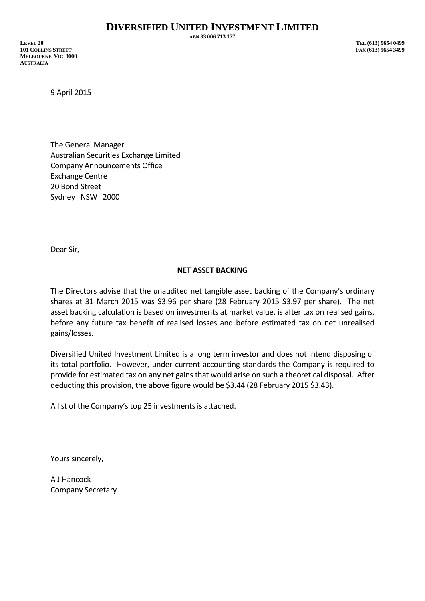**ABN 33 006 713 177**

**LEVEL 20 TEL (613) 9654 0499 101 COLLINS STREET FAX (613) 9654 3499 MELBOURNE VIC 3000 AUSTRALIA**

9 April 2015

The General Manager Australian Securities Exchange Limited Company Announcements Office Exchange Centre 20 Bond Street Sydney NSW 2000

Dear Sir,

## **NET ASSET BACKING**

The Directors advise that the unaudited net tangible asset backing of the Company's ordinary shares at 31 March 2015 was \$3.96 per share (28 February 2015 \$3.97 per share). The net asset backing calculation is based on investments at market value, is after tax on realised gains, before any future tax benefit of realised losses and before estimated tax on net unrealised gains/losses.

Diversified United Investment Limited is a long term investor and does not intend disposing of its total portfolio. However, under current accounting standards the Company is required to provide for estimated tax on any net gains that would arise on such a theoretical disposal. After deducting this provision, the above figure would be \$3.44 (28 February 2015 \$3.43).

A list of the Company's top 25 investments is attached.

Yours sincerely,

A J Hancock Company Secretary